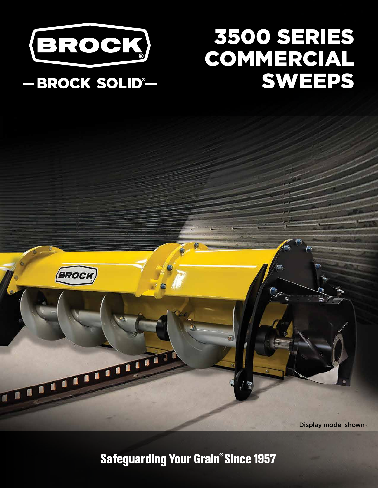

## 3500 SERIES COMMERCIAL SWEEPS

### -BROCK SOLID®-

**BROCK** 



**Safeguarding Your Grain® Since 1957**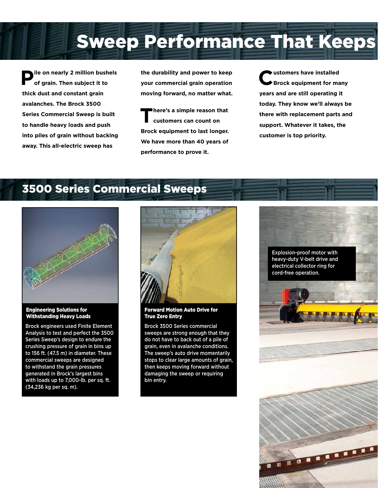**Sweep Performance That Keeps** 

**Pile on nearly 2 million bushels of grain. Then subject it to thick dust and constant grain avalanches. The Brock 3500 Series Commercial Sweep is built to handle heavy loads and push into piles of grain without backing away. This all-electric sweep has** 

**the durability and power to keep your commercial grain operation moving forward, no matter what.**

**There's a simple reason that customers can count on Brock equipment to last longer. We have more than 40 years of performance to prove it.** 

**Customers have installed Brock equipment for many years and are still operating it today. They know we'll always be there with replacement parts and support. Whatever it takes, the customer is top priority.**

### 3500 Series Commercial Sweeps



### Engineering Solutions for Withstanding Heavy Loads

Brock engineers used Finite Element Analysis to test and perfect the 3500 Series Sweep's design to endure the crushing pressure of grain in bins up to 156 ft. (47.5 m) in diameter. These commercial sweeps are designed to withstand the grain pressures generated in Brock's largest bins with loads up to 7,000-lb. per sq. ft. (34,236 kg per sq. m).



### Forward Motion Auto Drive for True Zero Entry

Brock 3500 Series commercial sweeps are strong enough that they do not have to back out of a pile of grain, even in avalanche conditions. The sweep's auto drive momentarily stops to clear large amounts of grain, then keeps moving forward without damaging the sweep or requiring bin entry.

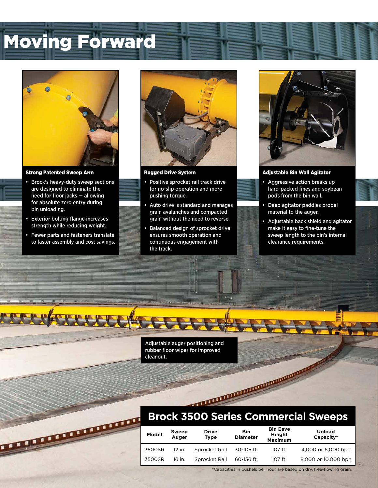## **Moving Forward**



#### Strong Patented Sweep Arm

- Brock's heavy-duty sweep sections are designed to eliminate the need for floor jacks — allowing for absolute zero entry during bin unloading.
- Exterior bolting flange increases strength while reducing weight.
- Fewer parts and fasteners translate to faster assembly and cost savings.



Rugged Drive System

- Positive sprocket rail track drive for no-slip operation and more pushing torque.
- Auto drive is standard and manages grain avalanches and compacted grain without the need to reverse.
- Balanced design of sprocket drive ensures smooth operation and continuous engagement with the track.



### Adjustable Bin Wall Agitator

- Aggressive action breaks up hard-packed fines and soybean pods from the bin wall.
- Deep agitator paddles propel material to the auger.
- Adjustable back shield and agitator make it easy to fine-tune the sweep length to the bin's internal clearance requirements.

Adjustable auger positioning and rubber floor wiper for improved cleanout.

# **Brock 3500 Series Commercial Sweeps**

|                                 |        | <b>Brock 3500 Series Commercial Sweeps</b> |                             |                               |                                             |                            |  |
|---------------------------------|--------|--------------------------------------------|-----------------------------|-------------------------------|---------------------------------------------|----------------------------|--|
| <b>CONTRACTO DE LA PROPERTE</b> | Model  | Sweep<br>Auger                             | <b>Drive</b><br><b>Type</b> | <b>Bin</b><br><b>Diameter</b> | <b>Bin Eave</b><br>Height<br><b>Maximum</b> | <b>Unload</b><br>Capacity* |  |
|                                 | 3500SR | 12 in.                                     | Sprocket Rail               | 30-105 ft.                    | 107 ft.                                     | 4,000 or 6,000 bph         |  |
|                                 | 3500SR | 16 in.                                     | Sprocket Rail               | 60-156 ft.                    | 107 ft.                                     | 8,000 or 10,000 bph        |  |

\*Capacities in bushels per hour are based on dry, free-flowing grain.